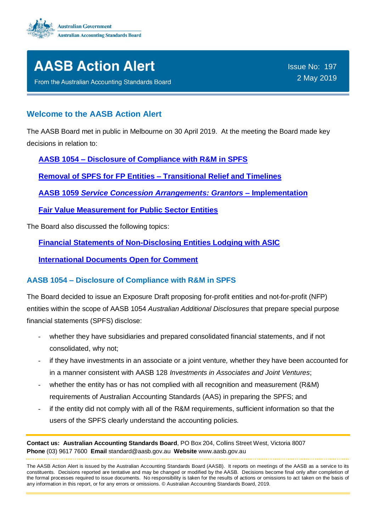



From the Australian Accounting Standards Board

#### **Welcome to the AASB Action Alert**

The AASB Board met in public in Melbourne on 30 April 2019. At the meeting the Board made key decisions in relation to:

**AASB 1054 – [Disclosure of Compliance with R&M in SPFS](#page-0-0)**

**[Removal of SPFS for FP Entities –](#page-1-0) Transitional Relief and Timelines**

**AASB 1059** *[Service Concession Arrangements: Grantors](#page-3-0)* **– Implementation**

**[Fair Value Measurement for Public Sector Entities](#page-4-0)**

The Board also discussed the following topics:

**[Financial Statements of Non-Disclosing Entities Lodging with ASIC](#page-5-0)**

**[International Documents Open for Comment](#page-6-0)**

#### <span id="page-0-0"></span>**AASB 1054 – Disclosure of Compliance with R&M in SPFS**

The Board decided to issue an Exposure Draft proposing for-profit entities and not-for-profit (NFP) entities within the scope of AASB 1054 *Australian Additional Disclosures* that prepare special purpose financial statements (SPFS) disclose:

- whether they have subsidiaries and prepared consolidated financial statements, and if not consolidated, why not;
- if they have investments in an associate or a joint venture*,* whether they have been accounted for in a manner consistent with AASB 128 *Investments in Associates and Joint Ventures*;
- whether the entity has or has not complied with all recognition and measurement (R&M) requirements of Australian Accounting Standards (AAS) in preparing the SPFS; and
- if the entity did not comply with all of the R&M requirements, sufficient information so that the users of the SPFS clearly understand the accounting policies.

**Contact us: Australian Accounting Standards Board**, PO Box 204, Collins Street West, Victoria 8007 **Phone** (03) 9617 7600 **Email** standard@aasb.gov.au **Website** www.aasb.gov.au

The AASB Action Alert is issued by the Australian Accounting Standards Board (AASB). It reports on meetings of the AASB as a service to its constituents. Decisions reported are tentative and may be changed or modified by the AASB. Decisions become final only after completion of the formal processes required to issue documents. No responsibility is taken for the results of actions or omissions to act taken on the basis of any information in this report, or for any errors or omissions. © Australian Accounting Standards Board, 2019.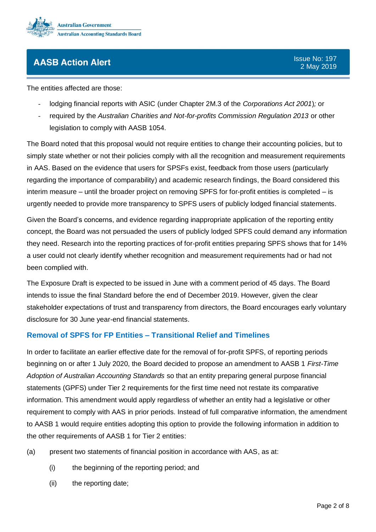

The entities affected are those:

- lodging financial reports with ASIC (under Chapter 2M.3 of the *Corporations Act 2001*)*;* or
- required by the *Australian Charities and Not-for-profits Commission Regulation 2013* or other legislation to comply with AASB 1054.

The Board noted that this proposal would not require entities to change their accounting policies, but to simply state whether or not their policies comply with all the recognition and measurement requirements in AAS. Based on the evidence that users for SPSFs exist, feedback from those users (particularly regarding the importance of comparability) and academic research findings, the Board considered this interim measure – until the broader project on removing SPFS for for-profit entities is completed – is urgently needed to provide more transparency to SPFS users of publicly lodged financial statements.

Given the Board's concerns, and evidence regarding inappropriate application of the reporting entity concept, the Board was not persuaded the users of publicly lodged SPFS could demand any information they need. Research into the reporting practices of for-profit entities preparing SPFS shows that for 14% a user could not clearly identify whether recognition and measurement requirements had or had not been complied with.

The Exposure Draft is expected to be issued in June with a comment period of 45 days. The Board intends to issue the final Standard before the end of December 2019. However, given the clear stakeholder expectations of trust and transparency from directors, the Board encourages early voluntary disclosure for 30 June year-end financial statements.

#### <span id="page-1-0"></span>**Removal of SPFS for FP Entities – Transitional Relief and Timelines**

In order to facilitate an earlier effective date for the removal of for-profit SPFS, of reporting periods beginning on or after 1 July 2020, the Board decided to propose an amendment to AASB 1 *First-Time Adoption of Australian Accounting Standards* so that an entity preparing general purpose financial statements (GPFS) under Tier 2 requirements for the first time need not restate its comparative information. This amendment would apply regardless of whether an entity had a legislative or other requirement to comply with AAS in prior periods. Instead of full comparative information, the amendment to AASB 1 would require entities adopting this option to provide the following information in addition to the other requirements of AASB 1 for Tier 2 entities:

- (a) present two statements of financial position in accordance with AAS, as at:
	- (i) the beginning of the reporting period; and
	- (ii) the reporting date;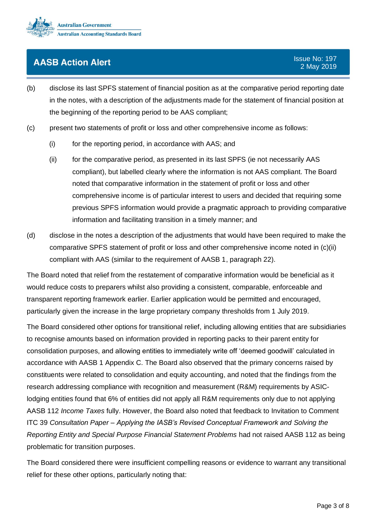

- (b) disclose its last SPFS statement of financial position as at the comparative period reporting date in the notes, with a description of the adjustments made for the statement of financial position at the beginning of the reporting period to be AAS compliant;
- (c) present two statements of profit or loss and other comprehensive income as follows:
	- (i) for the reporting period, in accordance with AAS; and
	- (ii) for the comparative period, as presented in its last SPFS (ie not necessarily AAS compliant), but labelled clearly where the information is not AAS compliant. The Board noted that comparative information in the statement of profit or loss and other comprehensive income is of particular interest to users and decided that requiring some previous SPFS information would provide a pragmatic approach to providing comparative information and facilitating transition in a timely manner; and
- (d) disclose in the notes a description of the adjustments that would have been required to make the comparative SPFS statement of profit or loss and other comprehensive income noted in (c)(ii) compliant with AAS (similar to the requirement of AASB 1, paragraph 22).

The Board noted that relief from the restatement of comparative information would be beneficial as it would reduce costs to preparers whilst also providing a consistent, comparable, enforceable and transparent reporting framework earlier. Earlier application would be permitted and encouraged, particularly given the increase in the large proprietary company thresholds from 1 July 2019.

The Board considered other options for transitional relief, including allowing entities that are subsidiaries to recognise amounts based on information provided in reporting packs to their parent entity for consolidation purposes, and allowing entities to immediately write off 'deemed goodwill' calculated in accordance with AASB 1 Appendix C. The Board also observed that the primary concerns raised by constituents were related to consolidation and equity accounting, and noted that the findings from the research addressing compliance with recognition and measurement (R&M) requirements by ASIClodging entities found that 6% of entities did not apply all R&M requirements only due to not applying AASB 112 *Income Taxes* fully. However, the Board also noted that feedback to Invitation to Comment ITC 39 *Consultation Paper – Applying the IASB's Revised Conceptual Framework and Solving the Reporting Entity and Special Purpose Financial Statement Problems* had not raised AASB 112 as being problematic for transition purposes.

The Board considered there were insufficient compelling reasons or evidence to warrant any transitional relief for these other options, particularly noting that: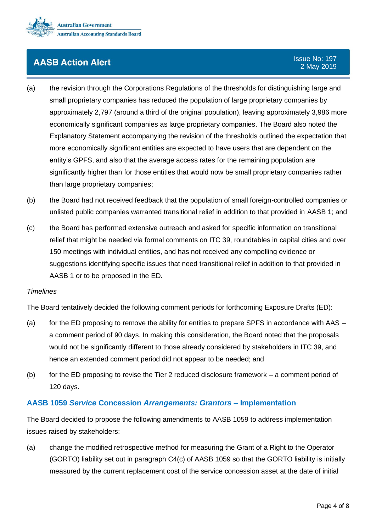

- (a) the revision through the Corporations Regulations of the thresholds for distinguishing large and small proprietary companies has reduced the population of large proprietary companies by approximately 2,797 (around a third of the original population), leaving approximately 3,986 more economically significant companies as large proprietary companies. The Board also noted the Explanatory Statement accompanying the revision of the thresholds outlined the expectation that more economically significant entities are expected to have users that are dependent on the entity's GPFS, and also that the average access rates for the remaining population are significantly higher than for those entities that would now be small proprietary companies rather than large proprietary companies;
- (b) the Board had not received feedback that the population of small foreign-controlled companies or unlisted public companies warranted transitional relief in addition to that provided in AASB 1; and
- (c) the Board has performed extensive outreach and asked for specific information on transitional relief that might be needed via formal comments on ITC 39, roundtables in capital cities and over 150 meetings with individual entities, and has not received any compelling evidence or suggestions identifying specific issues that need transitional relief in addition to that provided in AASB 1 or to be proposed in the ED.

#### *Timelines*

The Board tentatively decided the following comment periods for forthcoming Exposure Drafts (ED):

- (a) for the ED proposing to remove the ability for entities to prepare SPFS in accordance with AAS a comment period of 90 days. In making this consideration, the Board noted that the proposals would not be significantly different to those already considered by stakeholders in ITC 39, and hence an extended comment period did not appear to be needed; and
- (b) for the ED proposing to revise the Tier 2 reduced disclosure framework  $-$  a comment period of 120 days.

#### <span id="page-3-0"></span>**AASB 1059** *Service* **Concession** *Arrangements: Grantors* **– Implementation**

The Board decided to propose the following amendments to AASB 1059 to address implementation issues raised by stakeholders:

(a) change the modified retrospective method for measuring the Grant of a Right to the Operator (GORTO) liability set out in paragraph C4(c) of AASB 1059 so that the GORTO liability is initially measured by the current replacement cost of the service concession asset at the date of initial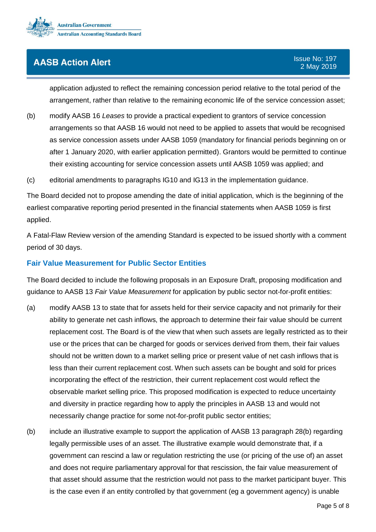

application adjusted to reflect the remaining concession period relative to the total period of the arrangement, rather than relative to the remaining economic life of the service concession asset;

(b) modify AASB 16 *Leases* to provide a practical expedient to grantors of service concession arrangements so that AASB 16 would not need to be applied to assets that would be recognised as service concession assets under AASB 1059 (mandatory for financial periods beginning on or after 1 January 2020, with earlier application permitted). Grantors would be permitted to continue their existing accounting for service concession assets until AASB 1059 was applied; and

(c) editorial amendments to paragraphs IG10 and IG13 in the implementation guidance.

The Board decided not to propose amending the date of initial application, which is the beginning of the earliest comparative reporting period presented in the financial statements when AASB 1059 is first applied.

A Fatal-Flaw Review version of the amending Standard is expected to be issued shortly with a comment period of 30 days.

#### <span id="page-4-0"></span>**Fair Value Measurement for Public Sector Entities**

The Board decided to include the following proposals in an Exposure Draft, proposing modification and guidance to AASB 13 *Fair Value Measurement* for application by public sector not-for-profit entities:

- (a) modify AASB 13 to state that for assets held for their service capacity and not primarily for their ability to generate net cash inflows, the approach to determine their fair value should be current replacement cost. The Board is of the view that when such assets are legally restricted as to their use or the prices that can be charged for goods or services derived from them, their fair values should not be written down to a market selling price or present value of net cash inflows that is less than their current replacement cost. When such assets can be bought and sold for prices incorporating the effect of the restriction, their current replacement cost would reflect the observable market selling price. This proposed modification is expected to reduce uncertainty and diversity in practice regarding how to apply the principles in AASB 13 and would not necessarily change practice for some not-for-profit public sector entities;
- (b) include an illustrative example to support the application of AASB 13 paragraph 28(b) regarding legally permissible uses of an asset. The illustrative example would demonstrate that, if a government can rescind a law or regulation restricting the use (or pricing of the use of) an asset and does not require parliamentary approval for that rescission, the fair value measurement of that asset should assume that the restriction would not pass to the market participant buyer. This is the case even if an entity controlled by that government (eg a government agency) is unable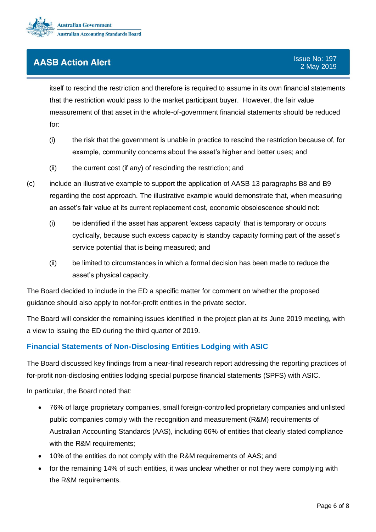

itself to rescind the restriction and therefore is required to assume in its own financial statements that the restriction would pass to the market participant buyer. However, the fair value measurement of that asset in the whole-of-government financial statements should be reduced for:

- (i) the risk that the government is unable in practice to rescind the restriction because of, for example, community concerns about the asset's higher and better uses; and
- (ii) the current cost (if any) of rescinding the restriction; and
- (c) include an illustrative example to support the application of AASB 13 paragraphs B8 and B9 regarding the cost approach. The illustrative example would demonstrate that, when measuring an asset's fair value at its current replacement cost, economic obsolescence should not:
	- (i) be identified if the asset has apparent 'excess capacity' that is temporary or occurs cyclically, because such excess capacity is standby capacity forming part of the asset's service potential that is being measured; and
	- (ii) be limited to circumstances in which a formal decision has been made to reduce the asset's physical capacity.

The Board decided to include in the ED a specific matter for comment on whether the proposed guidance should also apply to not-for-profit entities in the private sector.

The Board will consider the remaining issues identified in the project plan at its June 2019 meeting, with a view to issuing the ED during the third quarter of 2019.

#### <span id="page-5-0"></span>**Financial Statements of Non-Disclosing Entities Lodging with ASIC**

The Board discussed key findings from a near-final research report addressing the reporting practices of for-profit non-disclosing entities lodging special purpose financial statements (SPFS) with ASIC.

In particular, the Board noted that:

- 76% of large proprietary companies, small foreign-controlled proprietary companies and unlisted public companies comply with the recognition and measurement (R&M) requirements of Australian Accounting Standards (AAS), including 66% of entities that clearly stated compliance with the R&M requirements;
- 10% of the entities do not comply with the R&M requirements of AAS; and
- for the remaining 14% of such entities, it was unclear whether or not they were complying with the R&M requirements.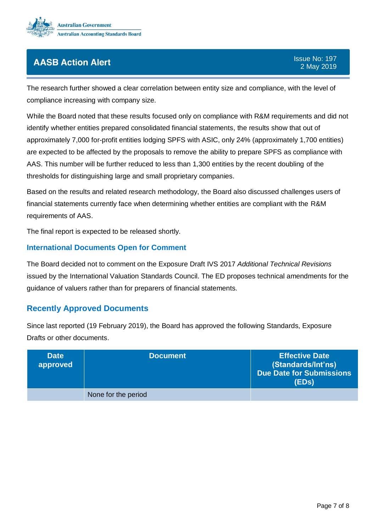

The research further showed a clear correlation between entity size and compliance, with the level of compliance increasing with company size.

While the Board noted that these results focused only on compliance with R&M requirements and did not identify whether entities prepared consolidated financial statements, the results show that out of approximately 7,000 for-profit entities lodging SPFS with ASIC, only 24% (approximately 1,700 entities) are expected to be affected by the proposals to remove the ability to prepare SPFS as compliance with AAS. This number will be further reduced to less than 1,300 entities by the recent doubling of the thresholds for distinguishing large and small proprietary companies.

Based on the results and related research methodology, the Board also discussed challenges users of financial statements currently face when determining whether entities are compliant with the R&M requirements of AAS.

The final report is expected to be released shortly.

#### <span id="page-6-0"></span>**International Documents Open for Comment**

The Board decided not to comment on the Exposure Draft IVS 2017 *Additional Technical Revisions* issued by the International Valuation Standards Council. The ED proposes technical amendments for the guidance of valuers rather than for preparers of financial statements.

#### **Recently Approved Documents**

Since last reported (19 February 2019), the Board has approved the following Standards, Exposure Drafts or other documents.

| <b>Date</b><br>approved | <b>Document</b>     | <b>Effective Date</b><br>(Standards/Int'ns)<br>Due Date for Submissions<br>(EDs) |
|-------------------------|---------------------|----------------------------------------------------------------------------------|
|                         | None for the period |                                                                                  |